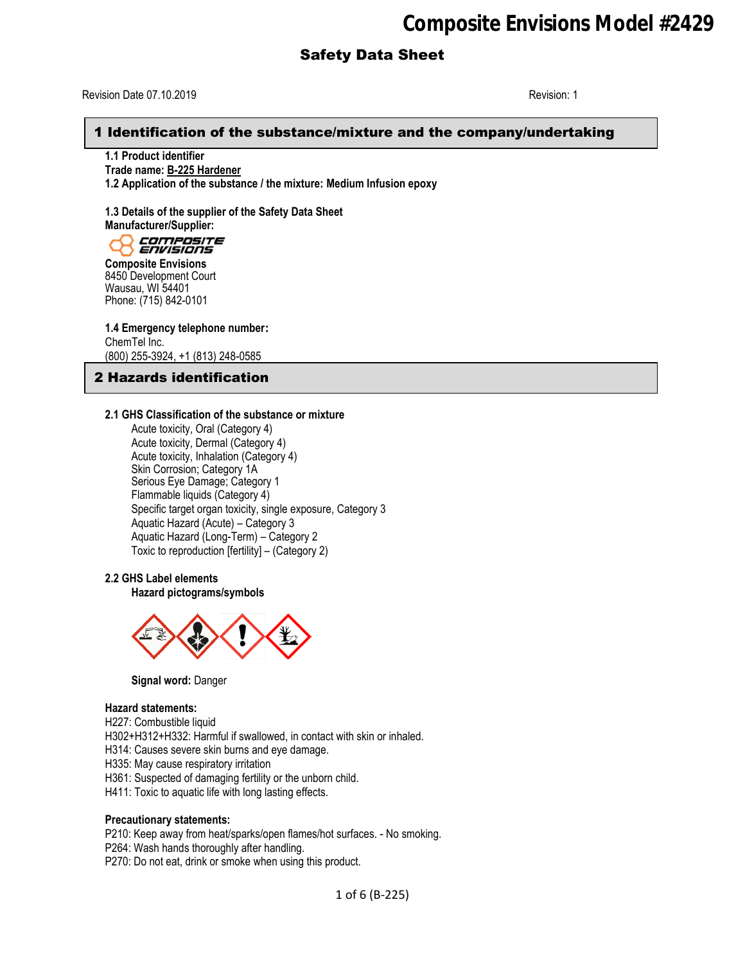Revision Date 07.10.2019 Revision: 1

## 1 Identification of the substance/mixture and the company/undertaking

**1.1 Product identifier Trade name: B-225 Hardener 1.2 Application of the substance / the mixture: Medium Infusion epoxy**

**1.3 Details of the supplier of the Safety Data Sheet Manufacturer/Supplier:**<br>*COLORET ENVISIONS* 

**Composite Envisions** 8450 Development Court Wausau, WI 54401 Phone: (715) 842-0101

**1.4 Emergency telephone number:** ChemTel Inc. (800) 255-3924, +1 (813) 248-0585

# 2 Hazards identification

#### **2.1 GHS Classification of the substance or mixture**

Acute toxicity, Oral (Category 4) Acute toxicity, Dermal (Category 4) Acute toxicity, Inhalation (Category 4) Skin Corrosion; Category 1A Serious Eye Damage; Category 1 Flammable liquids (Category 4) Specific target organ toxicity, single exposure, Category 3 Aquatic Hazard (Acute) – Category 3 Aquatic Hazard (Long-Term) – Category 2 Toxic to reproduction [fertility] – (Category 2)

### **2.2 GHS Label elements**

**Hazard pictograms/symbols**



**Signal word:** Danger

#### **Hazard statements:**

H227: Combustible liquid

H302+H312+H332: Harmful if swallowed, in contact with skin or inhaled.

H314: Causes severe skin burns and eye damage.

H335: May cause respiratory irritation

H361: Suspected of damaging fertility or the unborn child.

H411: Toxic to aquatic life with long lasting effects.

#### **Precautionary statements:**

P210: Keep away from heat/sparks/open flames/hot surfaces. - No smoking.

P264: Wash hands thoroughly after handling.

P270: Do not eat, drink or smoke when using this product.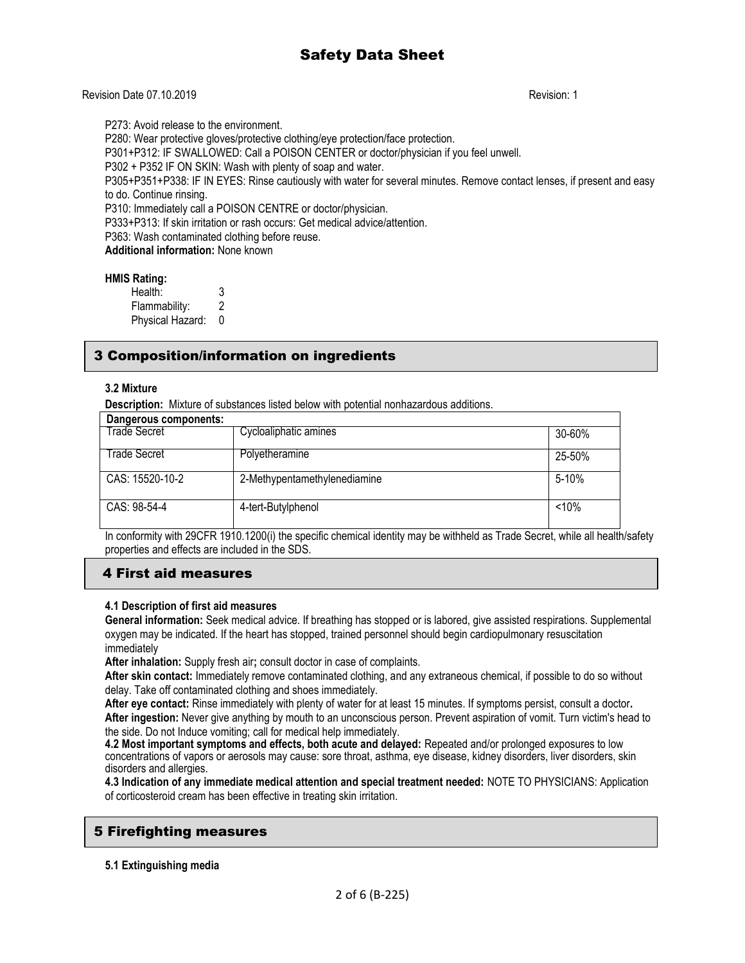### Revision Date 07.10.2019 Revision: 1

P273: Avoid release to the environment.

P280: Wear protective gloves/protective clothing/eye protection/face protection.

P301+P312: IF SWALLOWED: Call a POISON CENTER or doctor/physician if you feel unwell.

P302 + P352 IF ON SKIN: Wash with plenty of soap and water.

P305+P351+P338: IF IN EYES: Rinse cautiously with water for several minutes. Remove contact lenses, if present and easy to do. Continue rinsing.

P310: Immediately call a POISON CENTRE or doctor/physician.

P333+P313: If skin irritation or rash occurs: Get medical advice/attention.

P363: Wash contaminated clothing before reuse.

**Additional information:** None known

#### **HMIS Rating:**

Health: 3 Flammability: 2 Physical Hazard: 0

# 3 Composition/information on ingredients

### **3.2 Mixture**

**Description:** Mixture of substances listed below with potential nonhazardous additions.

| Dangerous components: |                              |           |
|-----------------------|------------------------------|-----------|
| Trade Secret          | Cycloaliphatic amines        | 30-60%    |
| Trade Secret          | Polyetheramine               | 25-50%    |
| CAS: 15520-10-2       | 2-Methypentamethylenediamine | $5 - 10%$ |
| CAS: 98-54-4          | 4-tert-Butylphenol           | < 10%     |

In conformity with 29CFR 1910.1200(i) the specific chemical identity may be withheld as Trade Secret, while all health/safety properties and effects are included in the SDS.

## 4 First aid measures

#### **4.1 Description of first aid measures**

**General information:** Seek medical advice. If breathing has stopped or is labored, give assisted respirations. Supplemental oxygen may be indicated. If the heart has stopped, trained personnel should begin cardiopulmonary resuscitation immediately

**After inhalation:** Supply fresh air**;** consult doctor in case of complaints.

**After skin contact:** Immediately remove contaminated clothing, and any extraneous chemical, if possible to do so without delay. Take off contaminated clothing and shoes immediately.

**After eye contact:** Rinse immediately with plenty of water for at least 15 minutes. If symptoms persist, consult a doctor**. After ingestion:** Never give anything by mouth to an unconscious person. Prevent aspiration of vomit. Turn victim's head to the side. Do not Induce vomiting; call for medical help immediately.

**4.2 Most important symptoms and effects, both acute and delayed:** Repeated and/or prolonged exposures to low concentrations of vapors or aerosols may cause: sore throat, asthma, eye disease, kidney disorders, liver disorders, skin disorders and allergies.

**4.3 Indication of any immediate medical attention and special treatment needed:** NOTE TO PHYSICIANS: Application of corticosteroid cream has been effective in treating skin irritation.

## 5 Firefighting measures

### **5.1 Extinguishing media**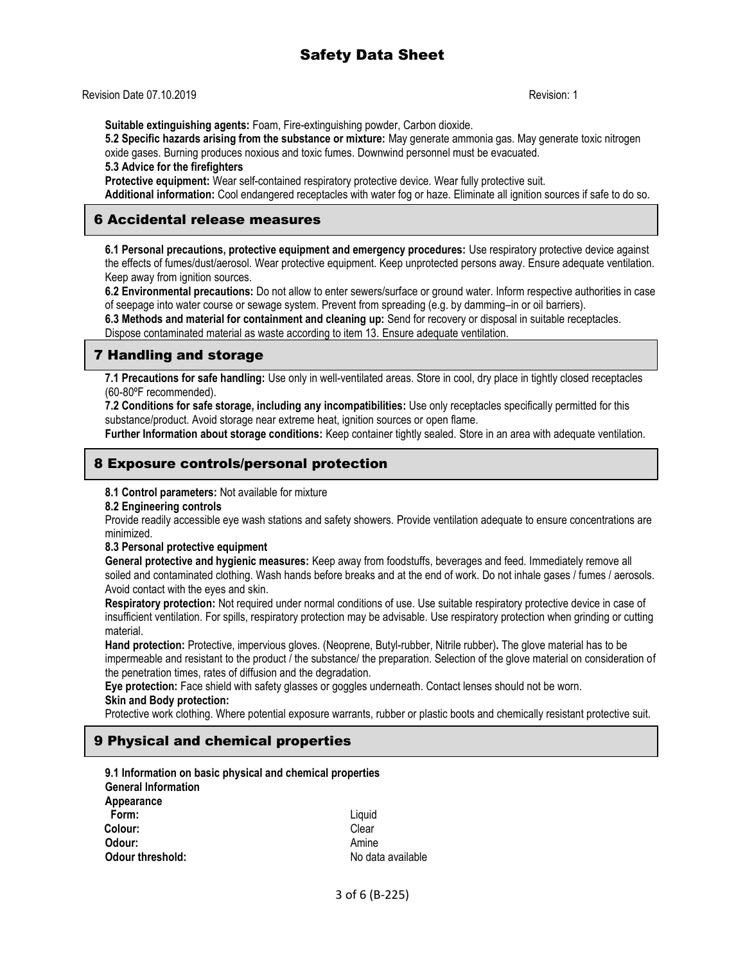Revision Date 07.10.2019 Revision: 1

**Suitable extinguishing agents:** Foam, Fire-extinguishing powder, Carbon dioxide.

**5.2 Specific hazards arising from the substance or mixture:** May generate ammonia gas. May generate toxic nitrogen oxide gases. Burning produces noxious and toxic fumes. Downwind personnel must be evacuated.

**5.3 Advice for the firefighters**

**Protective equipment:** Wear self-contained respiratory protective device. Wear fully protective suit.

**Additional information:** Cool endangered receptacles with water fog or haze. Eliminate all ignition sources if safe to do so.

## 6 Accidental release measures

**6.1 Personal precautions, protective equipment and emergency procedures:** Use respiratory protective device against the effects of fumes/dust/aerosol. Wear protective equipment. Keep unprotected persons away. Ensure adequate ventilation. Keep away from ignition sources.

**6.2 Environmental precautions:** Do not allow to enter sewers/surface or ground water. Inform respective authorities in case of seepage into water course or sewage system. Prevent from spreading (e.g. by damming–in or oil barriers).

**6.3 Methods and material for containment and cleaning up:** Send for recovery or disposal in suitable receptacles. Dispose contaminated material as waste according to item 13. Ensure adequate ventilation.

## 7 Handling and storage

**7.1 Precautions for safe handling:** Use only in well-ventilated areas. Store in cool, dry place in tightly closed receptacles (60-80ºF recommended).

**7.2 Conditions for safe storage, including any incompatibilities:** Use only receptacles specifically permitted for this substance/product. Avoid storage near extreme heat, ignition sources or open flame.

**Further Information about storage conditions:** Keep container tightly sealed. Store in an area with adequate ventilation.

## 8 Exposure controls/personal protection

#### **8.1 Control parameters:** Not available for mixture

**8.2 Engineering controls**

Provide readily accessible eye wash stations and safety showers. Provide ventilation adequate to ensure concentrations are minimized.

#### **8.3 Personal protective equipment**

**General protective and hygienic measures:** Keep away from foodstuffs, beverages and feed. Immediately remove all soiled and contaminated clothing. Wash hands before breaks and at the end of work. Do not inhale gases / fumes / aerosols. Avoid contact with the eyes and skin.

**Respiratory protection:** Not required under normal conditions of use. Use suitable respiratory protective device in case of insufficient ventilation. For spills, respiratory protection may be advisable. Use respiratory protection when grinding or cutting material.

**Hand protection:** Protective, impervious gloves. (Neoprene, Butyl-rubber, Nitrile rubber)**.** The glove material has to be impermeable and resistant to the product / the substance/ the preparation. Selection of the glove material on consideration of the penetration times, rates of diffusion and the degradation.

**Eye protection:** Face shield with safety glasses or goggles underneath. Contact lenses should not be worn. **Skin and Body protection:**

Protective work clothing. Where potential exposure warrants, rubber or plastic boots and chemically resistant protective suit.

## 9 Physical and chemical properties

| 9.1 Information on basic physical and chemical properties |                   |
|-----------------------------------------------------------|-------------------|
| <b>General Information</b>                                |                   |
| Appearance                                                |                   |
| Form:                                                     | Liquid            |
| Colour:                                                   | Clear             |
| Odour:                                                    | Amine             |
| <b>Odour threshold:</b>                                   | No data available |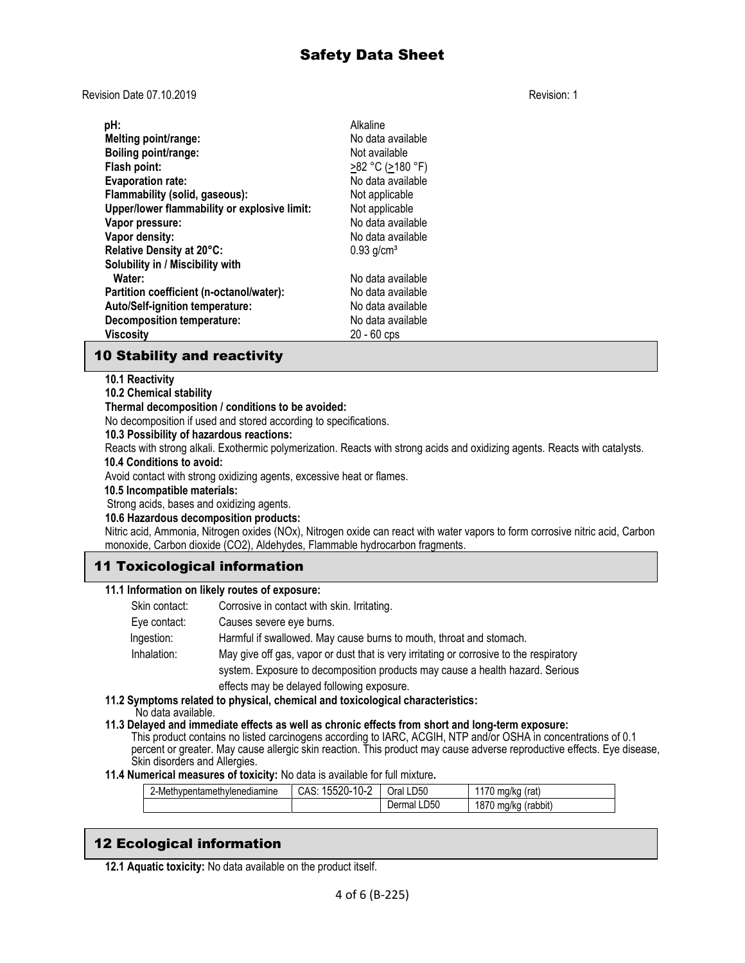Revision Date 07.10.2019 Revision: 1

| pH:                                          | Alkaline                 |
|----------------------------------------------|--------------------------|
| Melting point/range:                         | No data available        |
| Boiling point/range:                         | Not available            |
| Flash point:                                 | >82 °C (>180 °F)         |
| <b>Evaporation rate:</b>                     | No data available        |
| Flammability (solid, gaseous):               | Not applicable           |
| Upper/lower flammability or explosive limit: | Not applicable           |
| Vapor pressure:                              | No data available        |
| Vapor density:                               | No data available        |
| Relative Density at 20°C:                    | $0.93$ g/cm <sup>3</sup> |
| Solubility in / Miscibility with             |                          |
| Water:                                       | No data available        |
| Partition coefficient (n-octanol/water):     | No data available        |
| Auto/Self-ignition temperature:              | No data available        |
| <b>Decomposition temperature:</b>            | No data available        |
| Viscosity                                    | $20 - 60$ cps            |

# 10 Stability and reactivity

## **10.1 Reactivity**

## **10.2 Chemical stability**

### **Thermal decomposition / conditions to be avoided:**

No decomposition if used and stored according to specifications.

## **10.3 Possibility of hazardous reactions:**

Reacts with strong alkali. Exothermic polymerization. Reacts with strong acids and oxidizing agents. Reacts with catalysts.  **10.4 Conditions to avoid:**

# Avoid contact with strong oxidizing agents, excessive heat or flames.

### **10.5 Incompatible materials:**

Strong acids, bases and oxidizing agents.

#### **10.6 Hazardous decomposition products:**

Nitric acid, Ammonia, Nitrogen oxides (NOx), Nitrogen oxide can react with water vapors to form corrosive nitric acid, Carbon monoxide, Carbon dioxide (CO2), Aldehydes, Flammable hydrocarbon fragments.

# 11 Toxicological information

## **11.1 Information on likely routes of exposure:**

Skin contact: Corrosive in contact with skin. Irritating.

Eye contact: Causes severe eye burns.

Ingestion: Harmful if swallowed. May cause burns to mouth, throat and stomach.

Inhalation: May give off gas, vapor or dust that is very irritating or corrosive to the respiratory system. Exposure to decomposition products may cause a health hazard. Serious effects may be delayed following exposure.

# **11.2 Symptoms related to physical, chemical and toxicological characteristics:**

No data available.

**11.3 Delayed and immediate effects as well as chronic effects from short and long-term exposure:** 

This product contains no listed carcinogens according to IARC, ACGIH, NTP and/or OSHA in concentrations of 0.1 percent or greater. May cause allergic skin reaction. This product may cause adverse reproductive effects. Eye disease, Skin disorders and Allergies.

## **11.4 Numerical measures of toxicity:** No data is available for full mixture**.**

| mine<br>∵-Met∟<br>nvienediar<br>mvpentametr | $\overline{ }$<br>$\cap$ $\cap$ .<br>h<br>–∪− 1<br>1 U-7<br>UMU | Oral LD50             | 170<br>(rat<br>ma/ka<br>ີ               |
|---------------------------------------------|-----------------------------------------------------------------|-----------------------|-----------------------------------------|
|                                             |                                                                 | LD50<br>.∩al∵<br>Jerr | 1870<br>. .<br>(rabbit)<br>ma/kc<br>. . |

# 12 Ecological information

**12.1 Aquatic toxicity:** No data available on the product itself.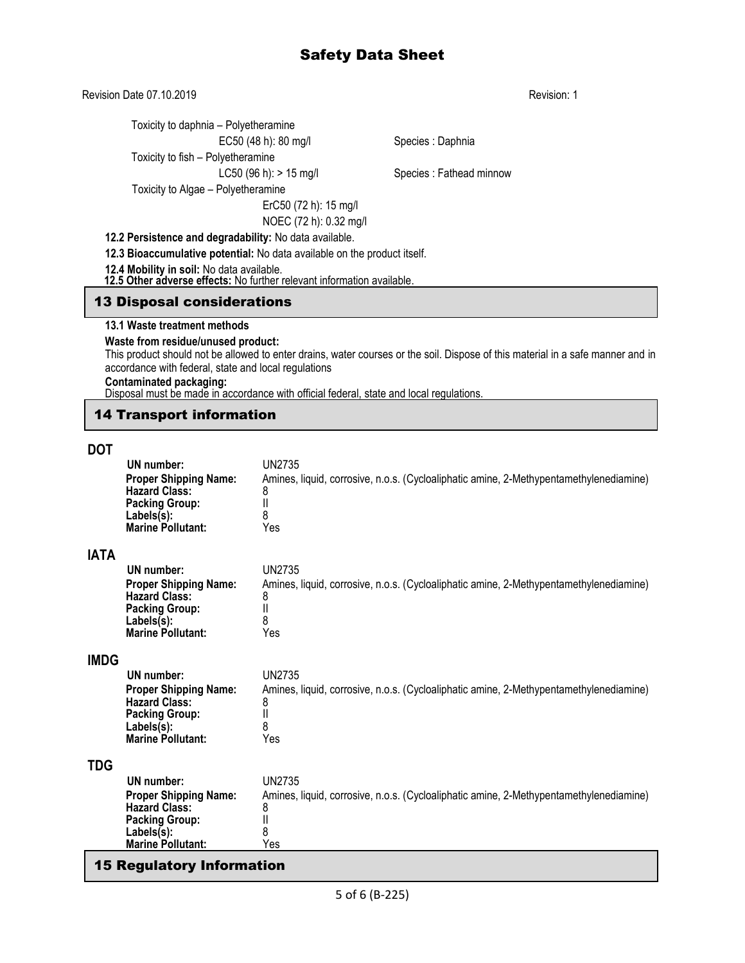Revision Date 07.10.2019 **Revision: 1** Revision: 1

Toxicity to daphnia – Polyetheramine

# Toxicity to fish – Polyetheramine

Toxicity to Algae – Polyetheramine

ErC50 (72 h): 15 mg/l NOEC (72 h): 0.32 mg/l

# **12.2 Persistence and degradability:** No data available.

**12.3 Bioaccumulative potential:** No data available on the product itself.

**12.4 Mobility in soil:** No data available.

 **12.5 Other adverse effects:** No further relevant information available.

## 13 Disposal considerations

#### **13.1 Waste treatment methods**

#### **Waste from residue/unused product:**

This product should not be allowed to enter drains, water courses or the soil. Dispose of this material in a safe manner and in accordance with federal, state and local regulations

#### **Contaminated packaging:**

Disposal must be made in accordance with official federal, state and local regulations.

# 14 Transport information

# **DOT**

|             | UN number:<br><b>Proper Shipping Name:</b><br><b>Hazard Class:</b><br><b>Packing Group:</b><br>Labels(s):<br><b>Marine Pollutant:</b> | <b>UN2735</b><br>Amines, liquid, corrosive, n.o.s. (Cycloaliphatic amine, 2-Methypentamethylenediamine)<br>8<br>$\mathsf{II}$<br>8<br>Yes |
|-------------|---------------------------------------------------------------------------------------------------------------------------------------|-------------------------------------------------------------------------------------------------------------------------------------------|
| <b>IATA</b> |                                                                                                                                       |                                                                                                                                           |
|             | UN number:<br><b>Proper Shipping Name:</b><br><b>Hazard Class:</b><br><b>Packing Group:</b><br>Labels(s):<br><b>Marine Pollutant:</b> | <b>UN2735</b><br>Amines, liquid, corrosive, n.o.s. (Cycloaliphatic amine, 2-Methypentamethylenediamine)<br>8<br>$\mathsf{II}$<br>8<br>Yes |
| <b>IMDG</b> |                                                                                                                                       |                                                                                                                                           |
|             | UN number:<br><b>Proper Shipping Name:</b><br><b>Hazard Class:</b><br><b>Packing Group:</b><br>Labels(s):<br><b>Marine Pollutant:</b> | <b>UN2735</b><br>Amines, liquid, corrosive, n.o.s. (Cycloaliphatic amine, 2-Methypentamethylenediamine)<br>8<br>$\mathsf{II}$<br>8<br>Yes |
| <b>TDG</b>  |                                                                                                                                       |                                                                                                                                           |
|             | UN number:<br><b>Proper Shipping Name:</b><br>Hazard Class:<br><b>Packing Group:</b><br>Labels(s):<br><b>Marine Pollutant:</b>        | UN2735<br>Amines, liquid, corrosive, n.o.s. (Cycloaliphatic amine, 2-Methypentamethylenediamine)<br>8<br>II<br>8<br>Yes                   |
|             |                                                                                                                                       |                                                                                                                                           |

# 15 Regulatory Information

EC50 (48 h): 80 mg/l Species : Daphnia

LC50 (96 h): > 15 mg/l Species : Fathead minnow